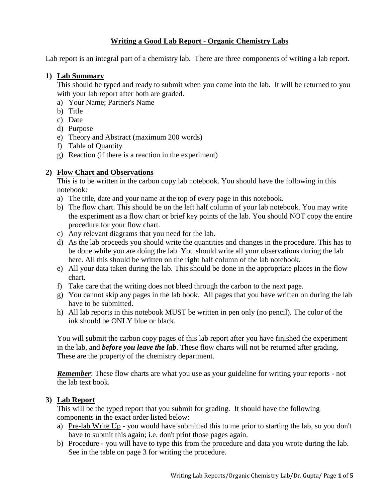## **Writing a Good Lab Report - Organic Chemistry Labs**

Lab report is an integral part of a chemistry lab. There are three components of writing a lab report.

#### **1) Lab Summary**

This should be typed and ready to submit when you come into the lab. It will be returned to you with your lab report after both are graded.

- a) Your Name; Partner's Name
- b) Title
- c) Date
- d) Purpose
- e) Theory and Abstract (maximum 200 words)
- f) Table of Quantity
- g) Reaction (if there is a reaction in the experiment)

# **2) Flow Chart and Observations**

This is to be written in the carbon copy lab notebook. You should have the following in this notebook:

- a) The title, date and your name at the top of every page in this notebook.
- b) The flow chart. This should be on the left half column of your lab notebook. You may write the experiment as a flow chart or brief key points of the lab. You should NOT copy the entire procedure for your flow chart.
- c) Any relevant diagrams that you need for the lab.
- d) As the lab proceeds you should write the quantities and changes in the procedure. This has to be done while you are doing the lab. You should write all your observations during the lab here. All this should be written on the right half column of the lab notebook.
- e) All your data taken during the lab. This should be done in the appropriate places in the flow chart.
- f) Take care that the writing does not bleed through the carbon to the next page.
- g) You cannot skip any pages in the lab book. All pages that you have written on during the lab have to be submitted.
- h) All lab reports in this notebook MUST be written in pen only (no pencil). The color of the ink should be ONLY blue or black.

You will submit the carbon copy pages of this lab report after you have finished the experiment in the lab, and *before you leave the lab*. These flow charts will not be returned after grading. These are the property of the chemistry department.

**Remember:** These flow charts are what you use as your guideline for writing your reports - not the lab text book.

### **3) Lab Report**

This will be the typed report that you submit for grading. It should have the following components in the exact order listed below:

- a) Pre-lab Write Up you would have submitted this to me prior to starting the lab, so you don't have to submit this again; i.e. don't print those pages again.
- b) Procedure you will have to type this from the procedure and data you wrote during the lab. See in the table on page 3 for writing the procedure.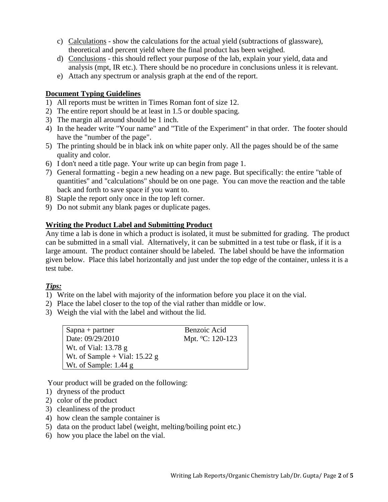- c) Calculations show the calculations for the actual yield (subtractions of glassware), theoretical and percent yield where the final product has been weighed.
- d) Conclusions this should reflect your purpose of the lab, explain your yield, data and analysis (mpt, IR etc.). There should be no procedure in conclusions unless it is relevant.
- e) Attach any spectrum or analysis graph at the end of the report.

### **Document Typing Guidelines**

- 1) All reports must be written in Times Roman font of size 12.
- 2) The entire report should be at least in 1.5 or double spacing.
- 3) The margin all around should be 1 inch.
- 4) In the header write "Your name" and "Title of the Experiment" in that order. The footer should have the "number of the page".
- 5) The printing should be in black ink on white paper only. All the pages should be of the same quality and color.
- 6) I don't need a title page. Your write up can begin from page 1.
- 7) General formatting begin a new heading on a new page. But specifically: the entire "table of quantities" and "calculations" should be on one page. You can move the reaction and the table back and forth to save space if you want to.
- 8) Staple the report only once in the top left corner.
- 9) Do not submit any blank pages or duplicate pages.

#### **Writing the Product Label and Submitting Product**

Any time a lab is done in which a product is isolated, it must be submitted for grading. The product can be submitted in a small vial. Alternatively, it can be submitted in a test tube or flask, if it is a large amount. The product container should be labeled. The label should be have the information given below. Place this label horizontally and just under the top edge of the container, unless it is a test tube.

### *Tips:*

- 1) Write on the label with majority of the information before you place it on the vial.
- 2) Place the label closer to the top of the vial rather than middle or low.
- 3) Weigh the vial with the label and without the lid.

| $Sapna + partner$               | Benzoic Acid     |
|---------------------------------|------------------|
| Date: 09/29/2010                | Mpt. °C: 120-123 |
| Wt. of Vial: $13.78 \text{ g}$  |                  |
| Wt. of Sample + Vial: $15.22$ g |                  |
| Wt. of Sample: $1.44$ g         |                  |

Your product will be graded on the following:

- 1) dryness of the product
- 2) color of the product
- 3) cleanliness of the product
- 4) how clean the sample container is
- 5) data on the product label (weight, melting/boiling point etc.)
- 6) how you place the label on the vial.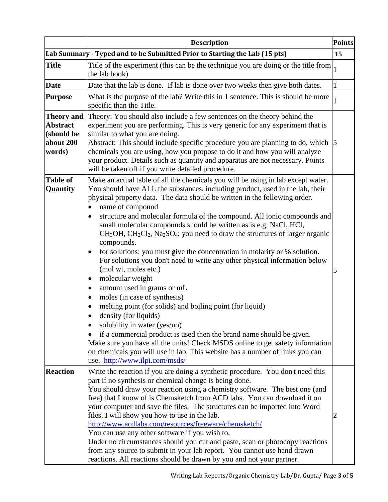|                                                                           | <b>Description</b>                                                                                                                                                                                                                                                                                                                                                                                                                                                                                                                                                                                                                                                                                                                                                                                                                                                                                                                                                                                                                                                                                                                                                                                                                                                            | <b>Points</b> |
|---------------------------------------------------------------------------|-------------------------------------------------------------------------------------------------------------------------------------------------------------------------------------------------------------------------------------------------------------------------------------------------------------------------------------------------------------------------------------------------------------------------------------------------------------------------------------------------------------------------------------------------------------------------------------------------------------------------------------------------------------------------------------------------------------------------------------------------------------------------------------------------------------------------------------------------------------------------------------------------------------------------------------------------------------------------------------------------------------------------------------------------------------------------------------------------------------------------------------------------------------------------------------------------------------------------------------------------------------------------------|---------------|
|                                                                           | Lab Summary - Typed and to be Submitted Prior to Starting the Lab (15 pts)                                                                                                                                                                                                                                                                                                                                                                                                                                                                                                                                                                                                                                                                                                                                                                                                                                                                                                                                                                                                                                                                                                                                                                                                    | 15            |
| <b>Title</b>                                                              | Title of the experiment (this can be the technique you are doing or the title from<br>the lab book)                                                                                                                                                                                                                                                                                                                                                                                                                                                                                                                                                                                                                                                                                                                                                                                                                                                                                                                                                                                                                                                                                                                                                                           | $\mathbf{1}$  |
| <b>Date</b>                                                               | Date that the lab is done. If lab is done over two weeks then give both dates.                                                                                                                                                                                                                                                                                                                                                                                                                                                                                                                                                                                                                                                                                                                                                                                                                                                                                                                                                                                                                                                                                                                                                                                                | $\mathbf{1}$  |
| <b>Purpose</b>                                                            | What is the purpose of the lab? Write this in 1 sentence. This is should be more<br>specific than the Title.                                                                                                                                                                                                                                                                                                                                                                                                                                                                                                                                                                                                                                                                                                                                                                                                                                                                                                                                                                                                                                                                                                                                                                  | 1             |
| <b>Theory and</b><br><b>Abstract</b><br>(should be<br>about 200<br>words) | Theory: You should also include a few sentences on the theory behind the<br>experiment you are performing. This is very generic for any experiment that is<br>similar to what you are doing.<br>Abstract: This should include specific procedure you are planning to do, which  5<br>chemicals you are using, how you propose to do it and how you will analyze<br>your product. Details such as quantity and apparatus are not necessary. Points<br>will be taken off if you write detailed procedure.                                                                                                                                                                                                                                                                                                                                                                                                                                                                                                                                                                                                                                                                                                                                                                       |               |
| <b>Table of</b><br>Quantity                                               | Make an actual table of all the chemicals you will be using in lab except water.<br>You should have ALL the substances, including product, used in the lab, their<br>physical property data. The data should be written in the following order.<br>name of compound<br>structure and molecular formula of the compound. All ionic compounds and<br>٠<br>small molecular compounds should be written as is e.g. NaCl, HCl,<br>$CH3OH$ , $CH2Cl2$ , Na <sub>2</sub> SO <sub>4</sub> ; you need to draw the structures of larger organic<br>compounds.<br>for solutions: you must give the concentration in molarity or % solution.<br>$\bullet$<br>For solutions you don't need to write any other physical information below<br>(mol wt, moles etc.)<br>molecular weight<br>amount used in grams or mL<br>$\bullet$<br>moles (in case of synthesis)<br>$\bullet$<br>melting point (for solids) and boiling point (for liquid)<br>density (for liquids)<br>solubility in water (yes/no)<br>if a commercial product is used then the brand name should be given.<br>$\bullet$<br>Make sure you have all the units! Check MSDS online to get safety information<br>on chemicals you will use in lab. This website has a number of links you can<br>use. http://www.ilpi.com/msds/ | 5             |
| <b>Reaction</b>                                                           | Write the reaction if you are doing a synthetic procedure. You don't need this<br>part if no synthesis or chemical change is being done.<br>You should draw your reaction using a chemistry software. The best one (and<br>free) that I know of is Chemsketch from ACD labs. You can download it on<br>your computer and save the files. The structures can be imported into Word<br>files. I will show you how to use in the lab.<br>http://www.acdlabs.com/resources/freeware/chemsketch/<br>You can use any other software if you wish to.<br>Under no circumstances should you cut and paste, scan or photocopy reactions<br>from any source to submit in your lab report. You cannot use hand drawn<br>reactions. All reactions should be drawn by you and not your partner.                                                                                                                                                                                                                                                                                                                                                                                                                                                                                             | $\mathbf{Z}$  |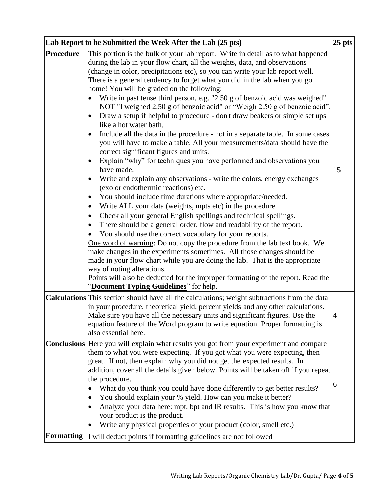|                   | Lab Report to be Submitted the Week After the Lab (25 pts)                                                                                                                                                                                                                                                                                                                                                                                                                                                                                                                                                                                                                                                                                                                                                                                                                                                                                                                                                                                                                                                                                                                                                                                                                                                                                                                                                                                                                                                                                                                                                                                                                                                                                                                                                                             | $ 25 \text{ pts} $ |
|-------------------|----------------------------------------------------------------------------------------------------------------------------------------------------------------------------------------------------------------------------------------------------------------------------------------------------------------------------------------------------------------------------------------------------------------------------------------------------------------------------------------------------------------------------------------------------------------------------------------------------------------------------------------------------------------------------------------------------------------------------------------------------------------------------------------------------------------------------------------------------------------------------------------------------------------------------------------------------------------------------------------------------------------------------------------------------------------------------------------------------------------------------------------------------------------------------------------------------------------------------------------------------------------------------------------------------------------------------------------------------------------------------------------------------------------------------------------------------------------------------------------------------------------------------------------------------------------------------------------------------------------------------------------------------------------------------------------------------------------------------------------------------------------------------------------------------------------------------------------|--------------------|
| Procedure         | This portion is the bulk of your lab report. Write in detail as to what happened<br>during the lab in your flow chart, all the weights, data, and observations<br>(change in color, precipitations etc), so you can write your lab report well.<br>There is a general tendency to forget what you did in the lab when you go<br>home! You will be graded on the following:<br>Write in past tense third person, e.g. "2.50 g of benzoic acid was weighed"<br>NOT "I weighed 2.50 g of benzoic acid" or "Weigh 2.50 g of benzoic acid".<br>Draw a setup if helpful to procedure - don't draw beakers or simple set ups<br>like a hot water bath.<br>Include all the data in the procedure - not in a separate table. In some cases<br>you will have to make a table. All your measurements/data should have the<br>correct significant figures and units.<br>Explain "why" for techniques you have performed and observations you<br>have made.<br>Write and explain any observations - write the colors, energy exchanges<br>$\bullet$<br>(exo or endothermic reactions) etc.<br>You should include time durations where appropriate/needed.<br>Write ALL your data (weights, mpts etc) in the procedure.<br>Check all your general English spellings and technical spellings.<br>$\bullet$<br>There should be a general order, flow and readability of the report.<br>٠<br>You should use the correct vocabulary for your reports.<br>One word of warning: Do not copy the procedure from the lab text book. We<br>make changes in the experiments sometimes. All those changes should be<br>made in your flow chart while you are doing the lab. That is the appropriate<br>way of noting alterations.<br>Points will also be deducted for the improper formatting of the report. Read the<br>"Document Typing Guidelines" for help. | 15                 |
|                   | <b>Calculations</b> This section should have all the calculations; weight subtractions from the data<br>in your procedure, theoretical yield, percent yields and any other calculations.<br>Make sure you have all the necessary units and significant figures. Use the<br>equation feature of the Word program to write equation. Proper formatting is<br>also essential here.                                                                                                                                                                                                                                                                                                                                                                                                                                                                                                                                                                                                                                                                                                                                                                                                                                                                                                                                                                                                                                                                                                                                                                                                                                                                                                                                                                                                                                                        | 4                  |
| <b>Formatting</b> | <b>Conclusions</b> Here you will explain what results you got from your experiment and compare<br>them to what you were expecting. If you got what you were expecting, then<br>great. If not, then explain why you did not get the expected results. In<br>addition, cover all the details given below. Points will be taken off if you repeat<br>the procedure.<br>What do you think you could have done differently to get better results?<br>You should explain your % yield. How can you make it better?<br>Analyze your data here: mpt, bpt and IR results. This is how you know that<br>$\bullet$<br>your product is the product.<br>Write any physical properties of your product (color, smell etc.)<br>I will deduct points if formatting guidelines are not followed                                                                                                                                                                                                                                                                                                                                                                                                                                                                                                                                                                                                                                                                                                                                                                                                                                                                                                                                                                                                                                                         | 6                  |
|                   |                                                                                                                                                                                                                                                                                                                                                                                                                                                                                                                                                                                                                                                                                                                                                                                                                                                                                                                                                                                                                                                                                                                                                                                                                                                                                                                                                                                                                                                                                                                                                                                                                                                                                                                                                                                                                                        |                    |